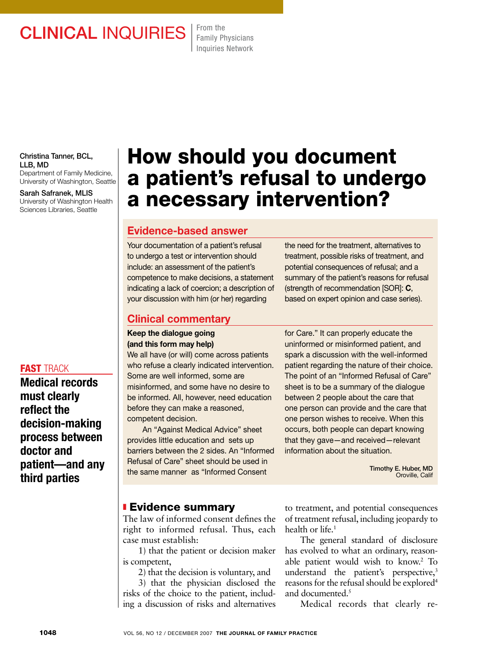# **CLINICAL INQUIRIES** From the

Family Physicians Inquiries Network

Christina Tanner, BCL, LLB, MD Department of Family Medicine,

University of Washington, Seattle

Sarah Safranek, MLIS University of Washington Health Sciences Libraries, Seattle

#### **FAST TRACK**

Medical records must clearly reflect the decision-making process between doctor and patient—and any third parties

# How should you document a patient's refusal to undergo a necessary intervention?

## Evidence-based answer

Your documentation of a patient's refusal to undergo a test or intervention should include: an assessment of the patient's competence to make decisions, a statement indicating a lack of coercion; a description of your discussion with him (or her) regarding

the need for the treatment, alternatives to treatment, possible risks of treatment, and potential consequences of refusal; and a summary of the patient's reasons for refusal (strength of recommendation [SOR]: C, based on expert opinion and case series).

## Clinical commentary

Keep the dialogue going (and this form may help)

We all have (or will) come across patients who refuse a clearly indicated intervention. Some are well informed, some are misinformed, and some have no desire to be informed. All, however, need education before they can make a reasoned, competent decision.

An "Against Medical Advice" sheet provides little education and sets up barriers between the 2 sides. An "Informed Refusal of Care" sheet should be used in the same manner as "Informed Consent

for Care." It can properly educate the uninformed or misinformed patient, and spark a discussion with the well-informed patient regarding the nature of their choice. The point of an "Informed Refusal of Care" sheet is to be a summary of the dialogue between 2 people about the care that one person can provide and the care that one person wishes to receive. When this occurs, both people can depart knowing that they gave—and received—relevant information about the situation.

> Timothy E. Huber, MD Oroville, Calif

### **Evidence summary**

The law of informed consent defines the right to informed refusal. Thus, each case must establish:

1) that the patient or decision maker is competent,

2) that the decision is voluntary, and

3) that the physician disclosed the risks of the choice to the patient, including a discussion of risks and alternatives to treatment, and potential consequences of treatment refusal, including jeopardy to health or life.<sup>1</sup>

The general standard of disclosure has evolved to what an ordinary, reasonable patient would wish to know.2 To understand the patient's perspective,<sup>3</sup> reasons for the refusal should be explored<sup>4</sup> and documented. $5$ 

Medical records that clearly re-